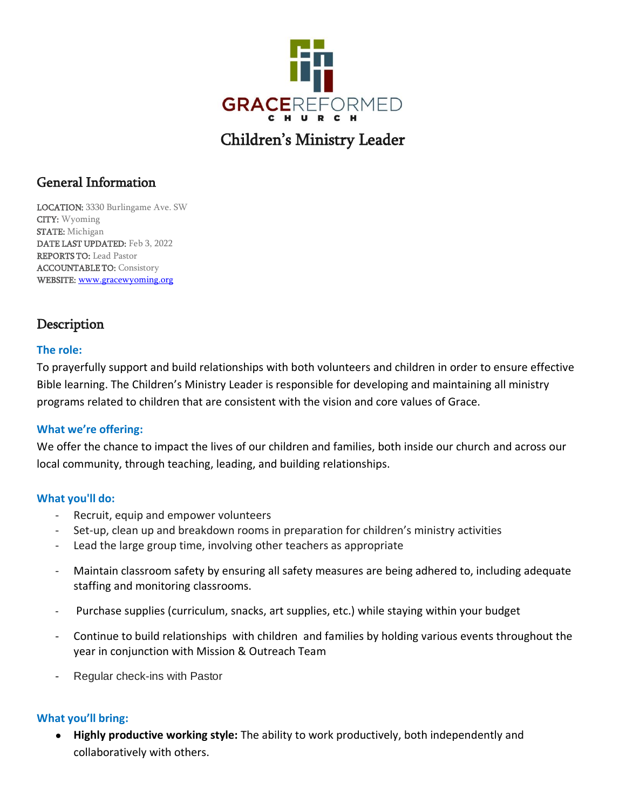

# Children's Ministry Leader

## General Information

LOCATION: 3330 Burlingame Ave. SW CITY: Wyoming STATE: Michigan DATE LAST UPDATED: Feb 3, 2022 REPORTS TO: Lead Pastor ACCOUNTABLE TO: Consistory WEBSITE: [www.gracewyoming.org](http://www.gracewyoming.org/)

# **Description**

#### **The role:**

To prayerfully support and build relationships with both volunteers and children in order to ensure effective Bible learning. The Children's Ministry Leader is responsible for developing and maintaining all ministry programs related to children that are consistent with the vision and core values of Grace.

#### **What we're offering:**

We offer the chance to impact the lives of our children and families, both inside our church and across our local community, through teaching, leading, and building relationships.

#### **What you'll do:**

- Recruit, equip and empower volunteers
- Set-up, clean up and breakdown rooms in preparation for children's ministry activities
- Lead the large group time, involving other teachers as appropriate
- Maintain classroom safety by ensuring all safety measures are being adhered to, including adequate staffing and monitoring classrooms.
- Purchase supplies (curriculum, snacks, art supplies, etc.) while staying within your budget
- Continue to build relationships with children and families by holding various events throughout the year in conjunction with Mission & Outreach Team
- Regular check-ins with Pastor

#### **What you'll bring:**

● **Highly productive working style:** The ability to work productively, both independently and collaboratively with others.